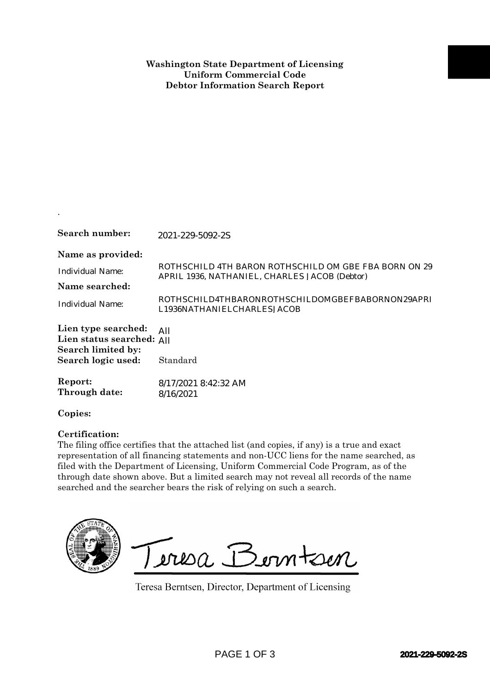| Search number:                                                                                                                                                                                                                                                                                                                                                                                                                                                  | 2021-229-5092-2S                                                                                                                                                                         |                         |
|-----------------------------------------------------------------------------------------------------------------------------------------------------------------------------------------------------------------------------------------------------------------------------------------------------------------------------------------------------------------------------------------------------------------------------------------------------------------|------------------------------------------------------------------------------------------------------------------------------------------------------------------------------------------|-------------------------|
| Name as provided:<br><b>Individual Name:</b><br>Name searched:<br><b>Individual Name:</b>                                                                                                                                                                                                                                                                                                                                                                       | ROTHSCHILD 4TH BARON ROTHSCHILD OM GBE FBA BORN ON 29<br>APRIL 1936, NATHANIEL, CHARLES JACOB (Debtor)<br>ROTHSCHILD4THBARONROTHSCHILDOMGBEFBABORNON29APRI<br>L1936NATHANIELCHARLESJACOB |                         |
| Lien type searched:<br>Lien status searched: All<br>Search limited by:<br>Search logic used:                                                                                                                                                                                                                                                                                                                                                                    | All<br>Standard                                                                                                                                                                          |                         |
| Report:<br>Through date:                                                                                                                                                                                                                                                                                                                                                                                                                                        | 8/17/2021 8:42:32 AM<br>8/16/2021                                                                                                                                                        |                         |
| Copies:                                                                                                                                                                                                                                                                                                                                                                                                                                                         |                                                                                                                                                                                          |                         |
| Certification:<br>The filing office certifies that the attached list (and copies, if any) is a true and exact<br>representation of all financing statements and non-UCC liens for the name searched, as<br>filed with the Department of Licensing, Uniform Commercial Code Program, as of the<br>through date shown above. But a limited search may not reveal all records of the name<br>searched and the searcher bears the risk of relying on such a search. |                                                                                                                                                                                          |                         |
|                                                                                                                                                                                                                                                                                                                                                                                                                                                                 | Teresa Berntsen<br>Teresa Berntsen, Director, Department of Licensing                                                                                                                    |                         |
|                                                                                                                                                                                                                                                                                                                                                                                                                                                                 | PAGE 1 OF 3                                                                                                                                                                              | <b>2021-229-5092-2S</b> |

.

## **Certification:**

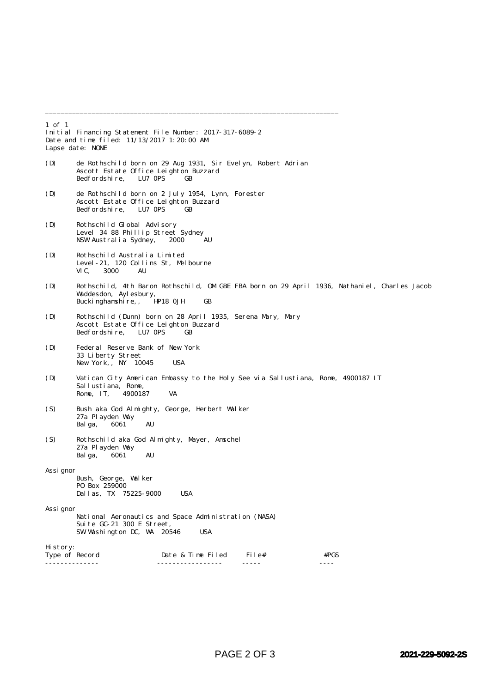1 of 1 Initial Financing Statement File Number: 2017-317-6089-2 Date and time filed: 11/13/2017 1:20:00 AM Lapse date: NONE (D) de Rothschild born on 29 Aug 1931, Sir Evelyn, Robert Adrian Ascott Estate Office Leighton Buzzard<br>Bedfordshire. LU7 OPS GB Bedfordshire. (D) de Rothschild born on 2 July 1954, Lynn, Forester Ascott Estate Office Leighton Buzzard Bedfordshire, LU7 OPS GB (D) Rothschild Global Advisory Level 34 88 Phillip Street Sydney<br>NSW Australia Sydney, 2000 AU NSW Australia Sydney, (D) Rothschild Australia Limited Level-21, 120 Collins St, Melbourne 3000 AU (D) Rothschild, 4th Baron Rothschild, OM GBE FBA born on 29 April 1936, Nathaniel, Charles Jacob Waddesdon, Aylesbury, Buckinghamshire,, HP18 0JH GB (D) Rothschild (Dunn) born on 28 April 1935, Serena Mary, Mary Ascott Estate Office Leighton Buzzard Bedfordshire, LU7 0PS GB (D) Federal Reserve Bank of New York 33 Liberty Street New York, NY 10045 USA (D) Vatican City American Embassy to the Holy See via Sallustiana, Rome, 4900187 IT Sallustiana, Rome,<br>Rome, IT. 4900187 Rome, IT, 4900187 VA (S) Bush aka God Almighty, George, Herbert Walker 27a Playden Way Balga, 6061 AU (S) Rothschild aka God Almighty, Mayer, Amschel 27a Playden Way<br>Balga, 6061 Balga,  $6061$  AU Assignor Bush, George, Walker PO Box 259000 Dallas, TX 75225-9000 USA Assignor National Aeronautics and Space Administration (NASA) Suite GC-21 300 E Street, SW Washington DC, WA 20546 USA History:<br>Type of Record Date & Time Filed File#  $#PGS$ -------------- ----------------- ----- ----

\_\_\_\_\_\_\_\_\_\_\_\_\_\_\_\_\_\_\_\_\_\_\_\_\_\_\_\_\_\_\_\_\_\_\_\_\_\_\_\_\_\_\_\_\_\_\_\_\_\_\_\_\_\_\_\_\_\_\_\_\_\_\_\_\_\_\_\_\_\_\_\_\_\_\_\_